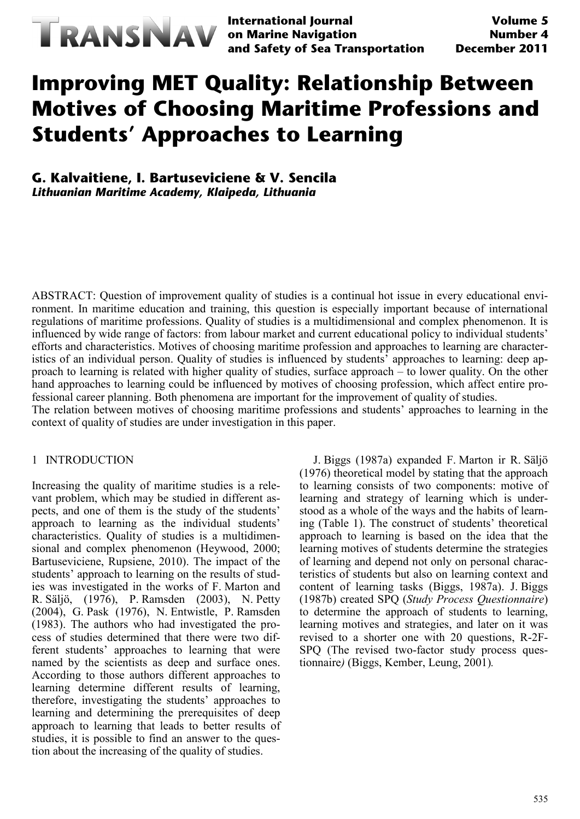

**International Journal on Marine Navigation and Safety of Sea Transportation**

# **Improving MET Quality: Relationship Between Motives of Choosing Maritime Professions and Students' Approaches to Learning**

**G. Kalvaitiene, I. Bartuseviciene & V. Sencila** *Lithuanian Maritime Academy, Klaipeda, Lithuania*

ABSTRACT: Question of improvement quality of studies is a continual hot issue in every educational environment. In maritime education and training, this question is especially important because of international regulations of maritime professions. Quality of studies is a multidimensional and complex phenomenon. It is influenced by wide range of factors: from labour market and current educational policy to individual students' efforts and characteristics. Motives of choosing maritime profession and approaches to learning are characteristics of an individual person. Quality of studies is influenced by students' approaches to learning: deep approach to learning is related with higher quality of studies, surface approach – to lower quality. On the other hand approaches to learning could be influenced by motives of choosing profession, which affect entire professional career planning. Both phenomena are important for the improvement of quality of studies. The relation between motives of choosing maritime professions and students' approaches to learning in the context of quality of studies are under investigation in this paper.

## 1 INTRODUCTION

Increasing the quality of maritime studies is a relevant problem, which may be studied in different aspects, and one of them is the study of the students' approach to learning as the individual students' characteristics. Quality of studies is a multidimensional and complex phenomenon (Heywood, 2000; Bartuseviciene, Rupsiene, 2010). The impact of the students' approach to learning on the results of studies was investigated in the works of F. Marton and R. Säljö, (1976), P. Ramsden (2003), N. Petty (2004), G. Pask (1976), N. Entwistle, P. Ramsden (1983). The authors who had investigated the process of studies determined that there were two different students' approaches to learning that were named by the scientists as deep and surface ones. According to those authors different approaches to learning determine different results of learning, therefore, investigating the students' approaches to learning and determining the prerequisites of deep approach to learning that leads to better results of studies, it is possible to find an answer to the question about the increasing of the quality of studies.

J. Biggs (1987a) expanded F. Marton ir R. Säljö (1976) theoretical model by stating that the approach to learning consists of two components: motive of learning and strategy of learning which is understood as a whole of the ways and the habits of learning (Table 1). The construct of students' theoretical approach to learning is based on the idea that the learning motives of students determine the strategies of learning and depend not only on personal characteristics of students but also on learning context and content of learning tasks (Biggs, 1987a). J. Biggs (1987b) created SPQ (*Study Process Questionnaire*) to determine the approach of students to learning, learning motives and strategies, and later on it was revised to a shorter one with 20 questions, R-2F-SPQ (The revised two-factor study process questionnaire*)* (Biggs, Kember, Leung, 2001)*.*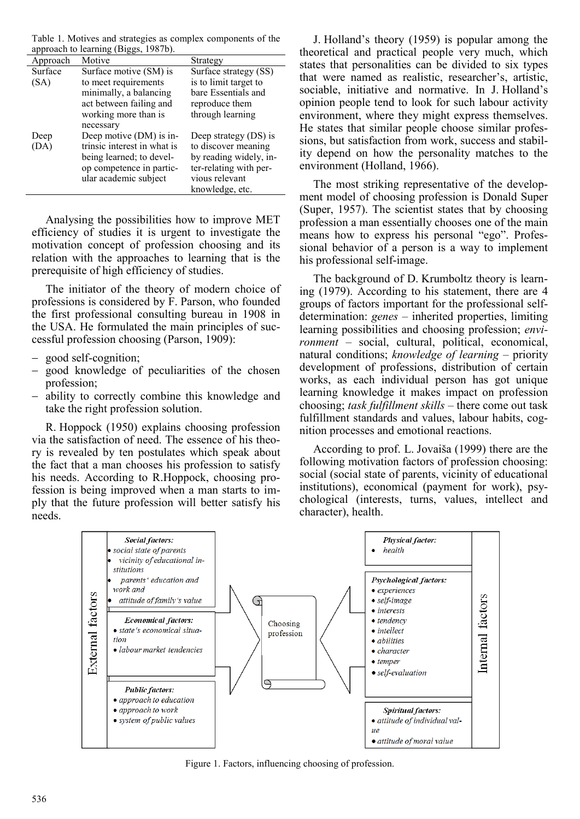Table 1. Motives and strategies as complex components of the approach to learning (Biggs, 1987b).

|          | $_{\rm uppt}$ out to<br>$1041$ $10100$ , $10000$ , |                        |  |  |  |  |  |
|----------|----------------------------------------------------|------------------------|--|--|--|--|--|
| Approach | Motive                                             | Strategy               |  |  |  |  |  |
| Surface  | Surface motive (SM) is                             | Surface strategy (SS)  |  |  |  |  |  |
| (SA)     | to meet requirements                               | is to limit target to  |  |  |  |  |  |
|          | minimally, a balancing                             | bare Essentials and    |  |  |  |  |  |
|          | act between failing and                            | reproduce them         |  |  |  |  |  |
|          | working more than is                               | through learning       |  |  |  |  |  |
|          | necessary                                          |                        |  |  |  |  |  |
| Deep     | Deep motive (DM) is in-                            | Deep strategy (DS) is  |  |  |  |  |  |
| (DA)     | trinsic interest in what is                        | to discover meaning    |  |  |  |  |  |
|          | being learned; to devel-                           | by reading widely, in- |  |  |  |  |  |
|          | op competence in partic-                           | ter-relating with per- |  |  |  |  |  |
|          | ular academic subject                              | vious relevant         |  |  |  |  |  |
|          |                                                    | knowledge, etc.        |  |  |  |  |  |
|          |                                                    |                        |  |  |  |  |  |

Analysing the possibilities how to improve MET efficiency of studies it is urgent to investigate the motivation concept of profession choosing and its relation with the approaches to learning that is the prerequisite of high efficiency of studies.

The initiator of the theory of modern choice of professions is considered by F. Parson, who founded the first professional consulting bureau in 1908 in the USA. He formulated the main principles of successful profession choosing (Parson, 1909):

- − good self-cognition;
- − good knowledge of peculiarities of the chosen profession;
- − ability to correctly combine this knowledge and take the right profession solution.

R. Hoppock (1950) explains choosing profession via the satisfaction of need. The essence of his theory is revealed by ten postulates which speak about the fact that a man chooses his profession to satisfy his needs. According to R.Hoppock, choosing profession is being improved when a man starts to imply that the future profession will better satisfy his needs.

J. Holland's theory (1959) is popular among the theoretical and practical people very much, which states that personalities can be divided to six types that were named as realistic, researcher's, artistic, sociable, initiative and normative. In J. Holland's opinion people tend to look for such labour activity environment, where they might express themselves. He states that similar people choose similar professions, but satisfaction from work, success and stability depend on how the personality matches to the environment (Holland, 1966).

The most striking representative of the development model of choosing profession is Donald Super (Super, 1957). The scientist states that by choosing profession a man essentially chooses one of the main means how to express his personal "ego". Professional behavior of a person is a way to implement his professional self-image.

The background of D. Krumboltz theory is learning (1979). According to his statement, there are 4 groups of factors important for the professional selfdetermination: *genes* – inherited properties, limiting learning possibilities and choosing profession; *environment* – social, cultural, political, economical, natural conditions; *knowledge of learning* – priority development of professions, distribution of certain works, as each individual person has got unique learning knowledge it makes impact on profession choosing; *task fulfillment skills* – there come out task fulfillment standards and values, labour habits, cognition processes and emotional reactions.

According to prof. L. Jovaiša (1999) there are the following motivation factors of profession choosing: social (social state of parents, vicinity of educational institutions), economical (payment for work), psychological (interests, turns, values, intellect and character), health.



Figure 1. Factors, influencing choosing of profession.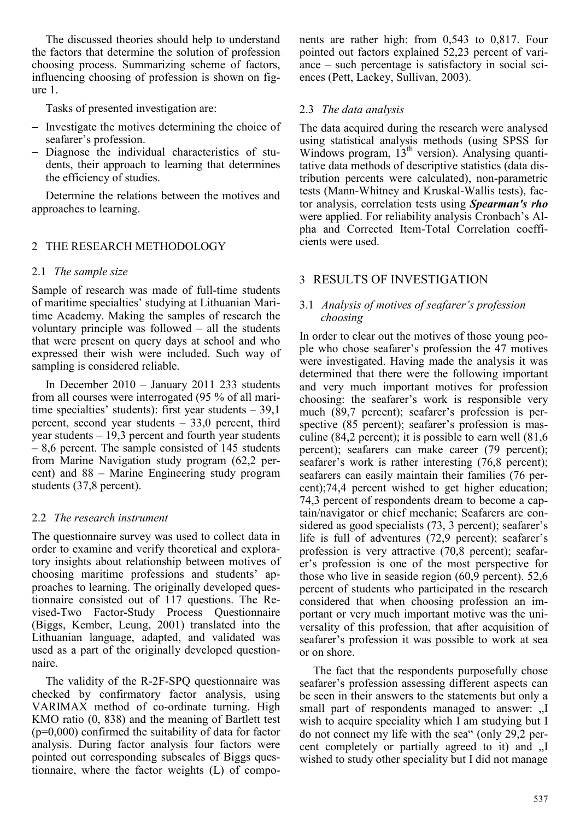The discussed theories should help to understand the factors that determine the solution of profession choosing process. Summarizing scheme of factors, influencing choosing of profession is shown on figure 1.

Tasks of presented investigation are:

- − Investigate the motives determining the choice of seafarer's profession.
- − Diagnose the individual characteristics of students, their approach to learning that determines the efficiency of studies.

Determine the relations between the motives and approaches to learning.

## 2 THE RESEARCH METHODOLOGY

### 2.1 *The sample size*

Sample of research was made of full-time students of maritime specialties' studying at Lithuanian Maritime Academy. Making the samples of research the voluntary principle was followed – all the students that were present on query days at school and who expressed their wish were included. Such way of sampling is considered reliable.

In December 2010 – January 2011 233 students from all courses were interrogated (95 % of all maritime specialties' students): first year students  $-39,1$ percent, second year students – 33,0 percent, third year students  $-19.3$  percent and fourth year students – 8,6 percent. The sample consisted of 145 students from Marine Navigation study program (62,2 percent) and 88 – Marine Engineering study program students (37,8 percent).

## 2.2 *The research instrument*

The questionnaire survey was used to collect data in order to examine and verify theoretical and exploratory insights about relationship between motives of choosing maritime professions and students' approaches to learning. The originally developed questionnaire consisted out of 117 questions. The Revised-Two Factor-Study Process Questionnaire (Biggs, Kember, Leung, 2001) translated into the Lithuanian language, adapted, and validated was used as a part of the originally developed questionnaire.

The validity of the R-2F-SPQ questionnaire was checked by confirmatory factor analysis, using VARIMAX method of co-ordinate turning. High KMO ratio (0, 838) and the meaning of Bartlett test  $(p=0,000)$  confirmed the suitability of data for factor analysis. During factor analysis four factors were pointed out corresponding subscales of Biggs questionnaire, where the factor weights (L) of components are rather high: from 0,543 to 0,817. Four pointed out factors explained 52,23 percent of variance – such percentage is satisfactory in social sciences (Pett, Lackey, Sullivan, 2003).

## 2.3 *The data analysis*

The data acquired during the research were analysed using statistical analysis methods (using SPSS for Windows program, 13<sup>th</sup> version). Analysing quantitative data methods of descriptive statistics (data distribution percents were calculated), non-parametric tests (Mann-Whitney and Kruskal-Wallis tests), factor analysis, correlation tests using *Spearman's rho* were applied. For reliability analysis Cronbach's Alpha and Corrected Item-Total Correlation coefficients were used.

## 3 RESULTS OF INVESTIGATION

## 3.1 *Analysis of motives of seafarer's profession choosing*

In order to clear out the motives of those young people who chose seafarer's profession the 47 motives were investigated. Having made the analysis it was determined that there were the following important and very much important motives for profession choosing: the seafarer's work is responsible very much (89,7 percent); seafarer's profession is perspective (85 percent); seafarer's profession is masculine (84,2 percent); it is possible to earn well (81,6 percent); seafarers can make career (79 percent); seafarer's work is rather interesting  $(76,8 \text{ percent})$ ; seafarers can easily maintain their families (76 percent);74,4 percent wished to get higher education; 74,3 percent of respondents dream to become a captain/navigator or chief mechanic; Seafarers are considered as good specialists (73, 3 percent); seafarer's life is full of adventures (72,9 percent); seafarer's profession is very attractive (70,8 percent); seafarer's profession is one of the most perspective for those who live in seaside region (60,9 percent). 52,6 percent of students who participated in the research considered that when choosing profession an important or very much important motive was the universality of this profession, that after acquisition of seafarer's profession it was possible to work at sea or on shore.

The fact that the respondents purposefully chose seafarer's profession assessing different aspects can be seen in their answers to the statements but only a small part of respondents managed to answer:  $\Pi$ wish to acquire speciality which I am studying but I do not connect my life with the sea" (only 29,2 percent completely or partially agreed to it) and  $\Pi$ wished to study other speciality but I did not manage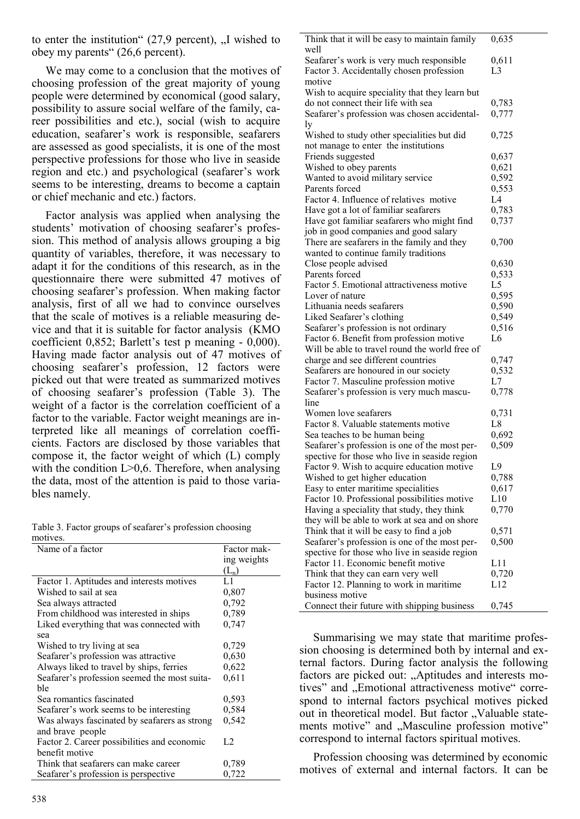to enter the institution"  $(27.9 \text{ percent})$ , I wished to obey my parents" (26,6 percent).

We may come to a conclusion that the motives of choosing profession of the great majority of young people were determined by economical (good salary, possibility to assure social welfare of the family, career possibilities and etc.), social (wish to acquire education, seafarer's work is responsible, seafarers are assessed as good specialists, it is one of the most perspective professions for those who live in seaside region and etc.) and psychological (seafarer's work seems to be interesting, dreams to become a captain or chief mechanic and etc.) factors.

Factor analysis was applied when analysing the students' motivation of choosing seafarer's profession. This method of analysis allows grouping a big quantity of variables, therefore, it was necessary to adapt it for the conditions of this research, as in the questionnaire there were submitted 47 motives of choosing seafarer's profession. When making factor analysis, first of all we had to convince ourselves that the scale of motives is a reliable measuring device and that it is suitable for factor analysis (KMO coefficient 0,852; Barlett's test p meaning - 0,000). Having made factor analysis out of 47 motives of choosing seafarer's profession, 12 factors were picked out that were treated as summarized motives of choosing seafarer's profession (Table 3). The weight of a factor is the correlation coefficient of a factor to the variable. Factor weight meanings are interpreted like all meanings of correlation coefficients. Factors are disclosed by those variables that compose it, the factor weight of which (L) comply with the condition L>0,6. Therefore, when analysing the data, most of the attention is paid to those variables namely.

Table 3. Factor groups of seafarer's profession choosing motives.

| Name of a factor                             | Factor mak-    |  |
|----------------------------------------------|----------------|--|
|                                              | ing weights    |  |
|                                              | $(L_n)$        |  |
| Factor 1. Aptitudes and interests motives    | L1             |  |
| Wished to sail at sea                        | 0,807          |  |
| Sea always attracted                         | 0,792          |  |
| From childhood was interested in ships       | 0,789          |  |
| Liked everything that was connected with     | 0,747          |  |
| sea                                          |                |  |
| Wished to try living at sea                  | 0,729          |  |
| Seafarer's profession was attractive         | 0,630          |  |
| Always liked to travel by ships, ferries     | 0,622          |  |
| Seafarer's profession seemed the most suita- | 0,611          |  |
| ble                                          |                |  |
| Sea romantics fascinated                     | 0,593          |  |
| Seafarer's work seems to be interesting      | 0,584          |  |
| Was always fascinated by seafarers as strong | 0,542          |  |
| and brave people                             |                |  |
| Factor 2. Career possibilities and economic  | L <sub>2</sub> |  |
| benefit motive                               |                |  |
| Think that seafarers can make career         | 0,789          |  |
| Seafarer's profession is perspective.        | 0,722          |  |

| Think that it will be easy to maintain family  | 0,635 |
|------------------------------------------------|-------|
| well                                           |       |
| Seafarer's work is very much responsible       | 0,611 |
| Factor 3. Accidentally chosen profession       | L3    |
| motive                                         |       |
| Wish to acquire speciality that they learn but |       |
| do not connect their life with sea             | 0,783 |
| Seafarer's profession was chosen accidental-   | 0,777 |
| ly                                             |       |
| Wished to study other specialities but did     | 0,725 |
| not manage to enter the institutions           |       |
| Friends suggested                              | 0,637 |
| Wished to obey parents                         | 0,621 |
| Wanted to avoid military service               | 0,592 |
| Parents forced                                 | 0,553 |
| Factor 4. Influence of relatives motive        | L4    |
|                                                |       |
| Have got a lot of familiar seafarers           | 0,783 |
| Have got familiar seafarers who might find     | 0,737 |
| job in good companies and good salary          |       |
| There are seafarers in the family and they     | 0,700 |
| wanted to continue family traditions           |       |
| Close people advised                           | 0,630 |
| Parents forced                                 | 0,533 |
| Factor 5. Emotional attractiveness motive      | L5    |
| Lover of nature                                | 0,595 |
| Lithuania needs seafarers                      | 0,590 |
| Liked Seafarer's clothing                      | 0,549 |
| Seafarer's profession is not ordinary          | 0,516 |
| Factor 6. Benefit from profession motive       | L6    |
| Will be able to travel round the world free of |       |
| charge and see different countries             | 0,747 |
| Seafarers are honoured in our society          | 0,532 |
| Factor 7. Masculine profession motive          | L7    |
| Seafarer's profession is very much mascu-      | 0,778 |
| line                                           |       |
| Women love seafarers                           | 0,731 |
| Factor 8. Valuable statements motive           | L8    |
| Sea teaches to be human being                  | 0,692 |
| Seafarer's profession is one of the most per-  | 0,509 |
| spective for those who live in seaside region  |       |
| Factor 9. Wish to acquire education motive     | L9    |
| Wished to get higher education                 | 0,788 |
| Easy to enter maritime specialities            | 0,617 |
| Factor 10. Professional possibilities motive   | L10   |
| Having a speciality that study, they think     | 0,770 |
| they will be able to work at sea and on shore  |       |
| Think that it will be easy to find a job       | 0,571 |
|                                                | 0,500 |
| Seafarer's profession is one of the most per-  |       |
| spective for those who live in seaside region  | L11   |
| Factor 11. Economic benefit motive             |       |
| Think that they can earn very well             | 0,720 |
| Factor 12. Planning to work in maritime        | L12   |
| business motive                                |       |
| Connect their future with shipping business    | 0,745 |

Summarising we may state that maritime profession choosing is determined both by internal and external factors. During factor analysis the following factors are picked out: "Aptitudes and interests motives" and "Emotional attractiveness motive" correspond to internal factors psychical motives picked out in theoretical model. But factor "Valuable statements motive" and "Masculine profession motive" correspond to internal factors spiritual motives.

Profession choosing was determined by economic motives of external and internal factors. It can be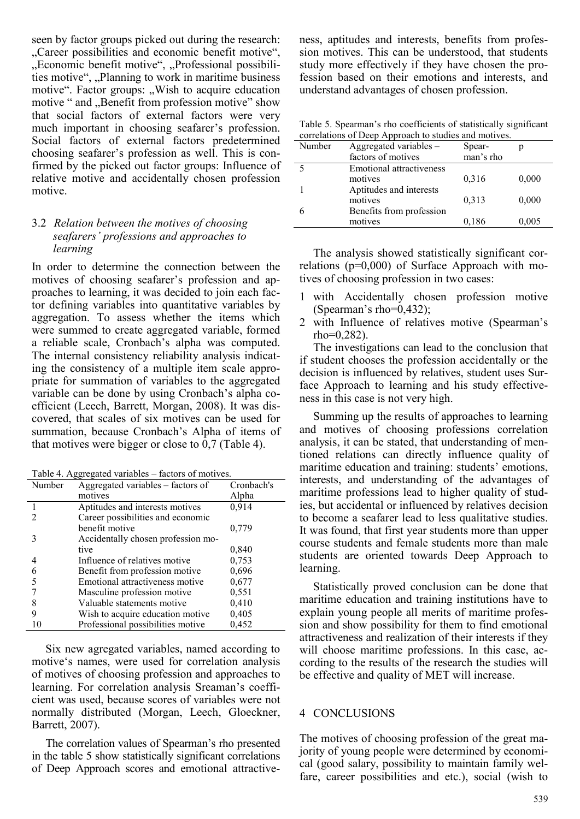seen by factor groups picked out during the research: "Career possibilities and economic benefit motive", "Economic benefit motive", "Professional possibilities motive", "Planning to work in maritime business motive". Factor groups: "Wish to acquire education motive " and "Benefit from profession motive" show that social factors of external factors were very much important in choosing seafarer's profession. Social factors of external factors predetermined choosing seafarer's profession as well. This is confirmed by the picked out factor groups: Influence of relative motive and accidentally chosen profession motive.

## 3.2 *Relation between the motives of choosing seafarers' professions and approaches to learning*

In order to determine the connection between the motives of choosing seafarer's profession and approaches to learning, it was decided to join each factor defining variables into quantitative variables by aggregation. To assess whether the items which were summed to create aggregated variable, formed a reliable scale, Cronbach's alpha was computed. The internal consistency reliability analysis indicating the consistency of a multiple item scale appropriate for summation of variables to the aggregated variable can be done by using Cronbach's alpha coefficient (Leech, Barrett, Morgan, 2008). It was discovered, that scales of six motives can be used for summation, because Cronbach's Alpha of items of that motives were bigger or close to 0,7 (Table 4).

Table 4. Aggregated variables – factors of motives.

|        | °00' 0"                            |            |  |
|--------|------------------------------------|------------|--|
| Number | Aggregated variables – factors of  | Cronbach's |  |
|        | motives                            | Alpha      |  |
|        | Aptitudes and interests motives    | 0,914      |  |
|        | Career possibilities and economic  |            |  |
|        | benefit motive                     | 0,779      |  |
|        | Accidentally chosen profession mo- |            |  |
|        | tive                               | 0,840      |  |
|        | Influence of relatives motive      | 0,753      |  |
| 6      | Benefit from profession motive     | 0,696      |  |
|        | Emotional attractiveness motive    | 0,677      |  |
|        | Masculine profession motive        | 0,551      |  |
| 8      | Valuable statements motive         | 0,410      |  |
| 9      | Wish to acquire education motive   | 0,405      |  |
| 10     | Professional possibilities motive  | 0,452      |  |

Six new agregated variables, named according to motive's names, were used for correlation analysis of motives of choosing profession and approaches to learning. For correlation analysis Sreaman's coefficient was used, because scores of variables were not normally distributed (Morgan, Leech, Gloeckner, Barrett, 2007).

The correlation values of Spearman's rho presented in the table 5 show statistically significant correlations of Deep Approach scores and emotional attractiveness, aptitudes and interests, benefits from profession motives. This can be understood, that students study more effectively if they have chosen the profession based on their emotions and interests, and understand advantages of chosen profession.

| Table 5. Spearman's rho coefficients of statistically significant |
|-------------------------------------------------------------------|
| correlations of Deep Approach to studies and motives.             |

| Number | Aggregated variables –          | Spear-    |       |
|--------|---------------------------------|-----------|-------|
|        | factors of motives              | man's rho |       |
|        | <b>Emotional attractiveness</b> |           |       |
|        | motives                         | 0.316     | 0,000 |
|        | Aptitudes and interests         |           |       |
|        | motives                         | 0.313     | 0,000 |
|        | Benefits from profession        |           |       |
|        | motives                         | 0.186     | 0.005 |

The analysis showed statistically significant correlations (p=0,000) of Surface Approach with motives of choosing profession in two cases:

- 1 with Accidentally chosen profession motive (Spearman's rho= $0,432$ );
- 2 with Influence of relatives motive (Spearman's rho=0,282).

The investigations can lead to the conclusion that if student chooses the profession accidentally or the decision is influenced by relatives, student uses Surface Approach to learning and his study effectiveness in this case is not very high.

Summing up the results of approaches to learning and motives of choosing professions correlation analysis, it can be stated, that understanding of mentioned relations can directly influence quality of maritime education and training: students' emotions, interests, and understanding of the advantages of maritime professions lead to higher quality of studies, but accidental or influenced by relatives decision to become a seafarer lead to less qualitative studies. It was found, that first year students more than upper course students and female students more than male students are oriented towards Deep Approach to learning.

Statistically proved conclusion can be done that maritime education and training institutions have to explain young people all merits of maritime profession and show possibility for them to find emotional attractiveness and realization of their interests if they will choose maritime professions. In this case, according to the results of the research the studies will be effective and quality of MET will increase.

#### 4 CONCLUSIONS

The motives of choosing profession of the great majority of young people were determined by economical (good salary, possibility to maintain family welfare, career possibilities and etc.), social (wish to